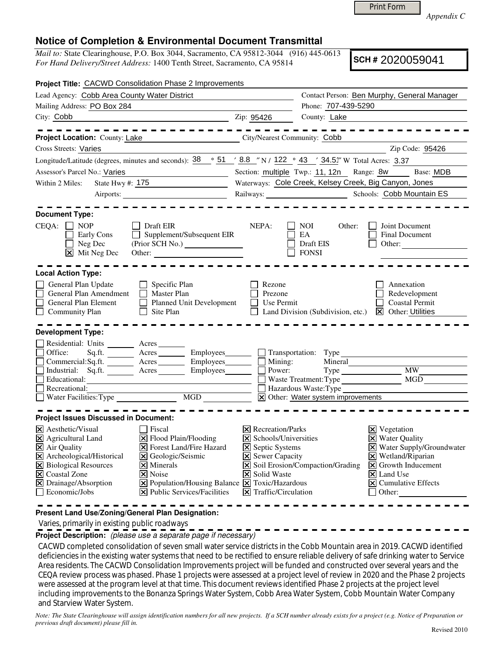Print Form

*Appendix C* 

## **Notice of Completion & Environmental Document Transmittal**

*Mail to:* State Clearinghouse, P.O. Box 3044, Sacramento, CA 95812-3044 (916) 445-0613 *For Hand Delivery/Street Address:* 1400 Tenth Street, Sacramento, CA 95814

**SCH #** 2020059041

| Project Title: CACWD Consolidation Phase 2 Improvements                                                                                                                                                                                                                                                                           |                                                                                                                                                                                                                                                                                                          |                                                                                                                                                                                                                 |                                                   |                                                                                                                                                                                                                                                         |
|-----------------------------------------------------------------------------------------------------------------------------------------------------------------------------------------------------------------------------------------------------------------------------------------------------------------------------------|----------------------------------------------------------------------------------------------------------------------------------------------------------------------------------------------------------------------------------------------------------------------------------------------------------|-----------------------------------------------------------------------------------------------------------------------------------------------------------------------------------------------------------------|---------------------------------------------------|---------------------------------------------------------------------------------------------------------------------------------------------------------------------------------------------------------------------------------------------------------|
| Lead Agency: Cobb Area County Water District                                                                                                                                                                                                                                                                                      |                                                                                                                                                                                                                                                                                                          |                                                                                                                                                                                                                 | Contact Person: Ben Murphy, General Manager       |                                                                                                                                                                                                                                                         |
| Mailing Address: PO Box 284                                                                                                                                                                                                                                                                                                       |                                                                                                                                                                                                                                                                                                          |                                                                                                                                                                                                                 | Phone: 707-439-5290                               |                                                                                                                                                                                                                                                         |
| City: Cobb<br>$\frac{1}{2}$ $\frac{1}{2}$ $\frac{1}{2}$ $\frac{1}{2}$ $\frac{1}{2}$ $\frac{1}{2}$ $\frac{1}{2}$ $\frac{1}{2}$ $\frac{1}{2}$ $\frac{1}{2}$ $\frac{1}{2}$ $\frac{1}{2}$ $\frac{1}{2}$ $\frac{1}{2}$ $\frac{1}{2}$ $\frac{1}{2}$ $\frac{1}{2}$ $\frac{1}{2}$ $\frac{1}{2}$ $\frac{1}{2}$ $\frac{1}{2}$ $\frac{1}{2}$ |                                                                                                                                                                                                                                                                                                          |                                                                                                                                                                                                                 | County: Lake                                      |                                                                                                                                                                                                                                                         |
|                                                                                                                                                                                                                                                                                                                                   | .                                                                                                                                                                                                                                                                                                        |                                                                                                                                                                                                                 |                                                   |                                                                                                                                                                                                                                                         |
| Project Location: County: Lake                                                                                                                                                                                                                                                                                                    | <u> 1990 - Johann Barbara, martxa a</u>                                                                                                                                                                                                                                                                  | City/Nearest Community: Cobb                                                                                                                                                                                    |                                                   |                                                                                                                                                                                                                                                         |
| Cross Streets: Varies                                                                                                                                                                                                                                                                                                             |                                                                                                                                                                                                                                                                                                          |                                                                                                                                                                                                                 |                                                   | Zip Code: 95426                                                                                                                                                                                                                                         |
| Longitude/Latitude (degrees, minutes and seconds): $\frac{38}{9}$ $\frac{61}{18}$ $\frac{8.8}{18}$ $\frac{1}{2}$ N / $\frac{122}{122}$ $\frac{9}{123}$ $\frac{43}{18}$ $\frac{1}{2}$ $\frac{34.5}{18}$ W Total Acres: 3.37                                                                                                        |                                                                                                                                                                                                                                                                                                          |                                                                                                                                                                                                                 |                                                   |                                                                                                                                                                                                                                                         |
| Assessor's Parcel No.: Varies<br><u> 1989 - Johann Barn, fransk politik (</u>                                                                                                                                                                                                                                                     |                                                                                                                                                                                                                                                                                                          | Section: multiple Twp.: 11, 12n Range: 8w Base: MDB                                                                                                                                                             |                                                   |                                                                                                                                                                                                                                                         |
| State Hwy #: 175<br>Within 2 Miles:                                                                                                                                                                                                                                                                                               |                                                                                                                                                                                                                                                                                                          | Waterways: Cole Creek, Kelsey Creek, Big Canyon, Jones                                                                                                                                                          |                                                   |                                                                                                                                                                                                                                                         |
|                                                                                                                                                                                                                                                                                                                                   |                                                                                                                                                                                                                                                                                                          |                                                                                                                                                                                                                 |                                                   |                                                                                                                                                                                                                                                         |
| <b>Document Type:</b><br>CEQA:<br>$\Box$ NOP<br>Early Cons<br>Neg Dec<br>$\boxed{\mathsf{X}}$ Mit Neg Dec                                                                                                                                                                                                                         | Draft EIR<br>$\Box$ Supplement/Subsequent EIR<br>Other:                                                                                                                                                                                                                                                  | NEPA:                                                                                                                                                                                                           | NOI.<br>Other:<br>EA<br>Draft EIS<br><b>FONSI</b> | Joint Document<br>Final Document<br>Other:                                                                                                                                                                                                              |
| <b>Local Action Type:</b><br>General Plan Update<br>General Plan Amendment                                                                                                                                                                                                                                                        | Specific Plan<br>$\Box$<br>Master Plan                                                                                                                                                                                                                                                                   | Rezone<br>Prezone                                                                                                                                                                                               |                                                   | Annexation<br>Redevelopment                                                                                                                                                                                                                             |
| General Plan Element<br>$\Box$ Community Plan                                                                                                                                                                                                                                                                                     | <b>Planned Unit Development</b><br>Site Plan<br>$\perp$                                                                                                                                                                                                                                                  | Use Permit                                                                                                                                                                                                      | Land Division (Subdivision, etc.)                 | Coastal Permit<br>$\boxed{\mathsf{X}}$ Other: Utilities                                                                                                                                                                                                 |
| <b>Development Type:</b>                                                                                                                                                                                                                                                                                                          |                                                                                                                                                                                                                                                                                                          |                                                                                                                                                                                                                 |                                                   |                                                                                                                                                                                                                                                         |
| Residential: Units ________ Acres _______                                                                                                                                                                                                                                                                                         |                                                                                                                                                                                                                                                                                                          |                                                                                                                                                                                                                 |                                                   |                                                                                                                                                                                                                                                         |
| Office:                                                                                                                                                                                                                                                                                                                           | Sq.ft. ________ Acres _________ Employees ________ __ Transportation: Type                                                                                                                                                                                                                               |                                                                                                                                                                                                                 |                                                   |                                                                                                                                                                                                                                                         |
|                                                                                                                                                                                                                                                                                                                                   | Commercial:Sq.ft. Acres Employees Mining:                                                                                                                                                                                                                                                                |                                                                                                                                                                                                                 | Mineral                                           |                                                                                                                                                                                                                                                         |
| Educational:                                                                                                                                                                                                                                                                                                                      | Industrial: Sq.ft. Acres Employees                                                                                                                                                                                                                                                                       | Power:                                                                                                                                                                                                          | Waste Treatment: Type                             | Type MW<br>MGD                                                                                                                                                                                                                                          |
| Recreational:                                                                                                                                                                                                                                                                                                                     |                                                                                                                                                                                                                                                                                                          |                                                                                                                                                                                                                 | Hazardous Waste: Type                             |                                                                                                                                                                                                                                                         |
|                                                                                                                                                                                                                                                                                                                                   |                                                                                                                                                                                                                                                                                                          | X Other: Water system improvements                                                                                                                                                                              |                                                   |                                                                                                                                                                                                                                                         |
| <b>Project Issues Discussed in Document:</b>                                                                                                                                                                                                                                                                                      |                                                                                                                                                                                                                                                                                                          |                                                                                                                                                                                                                 |                                                   |                                                                                                                                                                                                                                                         |
|                                                                                                                                                                                                                                                                                                                                   |                                                                                                                                                                                                                                                                                                          |                                                                                                                                                                                                                 |                                                   |                                                                                                                                                                                                                                                         |
| $ \mathsf{X} $ Aesthetic/Visual<br>X Agricultural Land<br>X Air Quality<br>X Archeological/Historical<br>X Biological Resources<br>X Coastal Zone<br>X Drainage/Absorption<br>$\Box$ Economic/Jobs                                                                                                                                | l Fiscal<br>$\triangleright$ Flood Plain/Flooding<br><b>X</b> Forest Land/Fire Hazard<br>X Geologic/Seismic<br>$\times$ Minerals<br>$ \mathsf{X} $ Noise<br>$\boxed{\mathbf{X}}$ Population/Housing Balance $\boxed{\mathbf{X}}$ Toxic/Hazardous<br>$ \mathbf{\overline{X}} $ Public Services/Facilities | <b>X</b> Recreation/Parks<br>$\vert\mathsf{X}\vert$ Schools/Universities<br><b>X</b> Septic Systems<br><b>X</b> Sewer Capacity<br><b>X</b> Solid Waste<br>$\vert\overline{\mathsf{x}}\vert$ Traffic/Circulation | $\triangleright$ Soil Erosion/Compaction/Grading  | $\boxtimes$ Vegetation<br><b>X</b> Water Quality<br>X Water Supply/Groundwater<br>$\times$ Wetland/Riparian<br>$\vert\mathbf{X}\vert$ Growth Inducement<br>$\overline{\mathsf{x}}$ Land Use<br>$\boxed{\mathsf{X}}$ Cumulative Effects<br>$\Box$ Other: |
|                                                                                                                                                                                                                                                                                                                                   |                                                                                                                                                                                                                                                                                                          |                                                                                                                                                                                                                 |                                                   |                                                                                                                                                                                                                                                         |

**Present Land Use/Zoning/General Plan Designation:**

Varies, primarily in existing public roadways

**Project Description:** (please use a separate page if necessary)

 CACWD completed consolidation of seven small water service districts in the Cobb Mountain area in 2019. CACWD identified deficiencies in the existing water systems that need to be rectified to ensure reliable delivery of safe drinking water to Service Area residents. The CACWD Consolidation Improvements project will be funded and constructed over several years and the CEQA review process was phased. Phase 1 projects were assessed at a project level of review in 2020 and the Phase 2 projects were assessed at the program level at that time. This document reviews identified Phase 2 projects at the project level including improvements to the Bonanza Springs Water System, Cobb Area Water System, Cobb Mountain Water Company and Starview Water System.

*Note: The State Clearinghouse will assign identification numbers for all new projects. If a SCH number already exists for a project (e.g. Notice of Preparation or previous draft document) please fill in.*